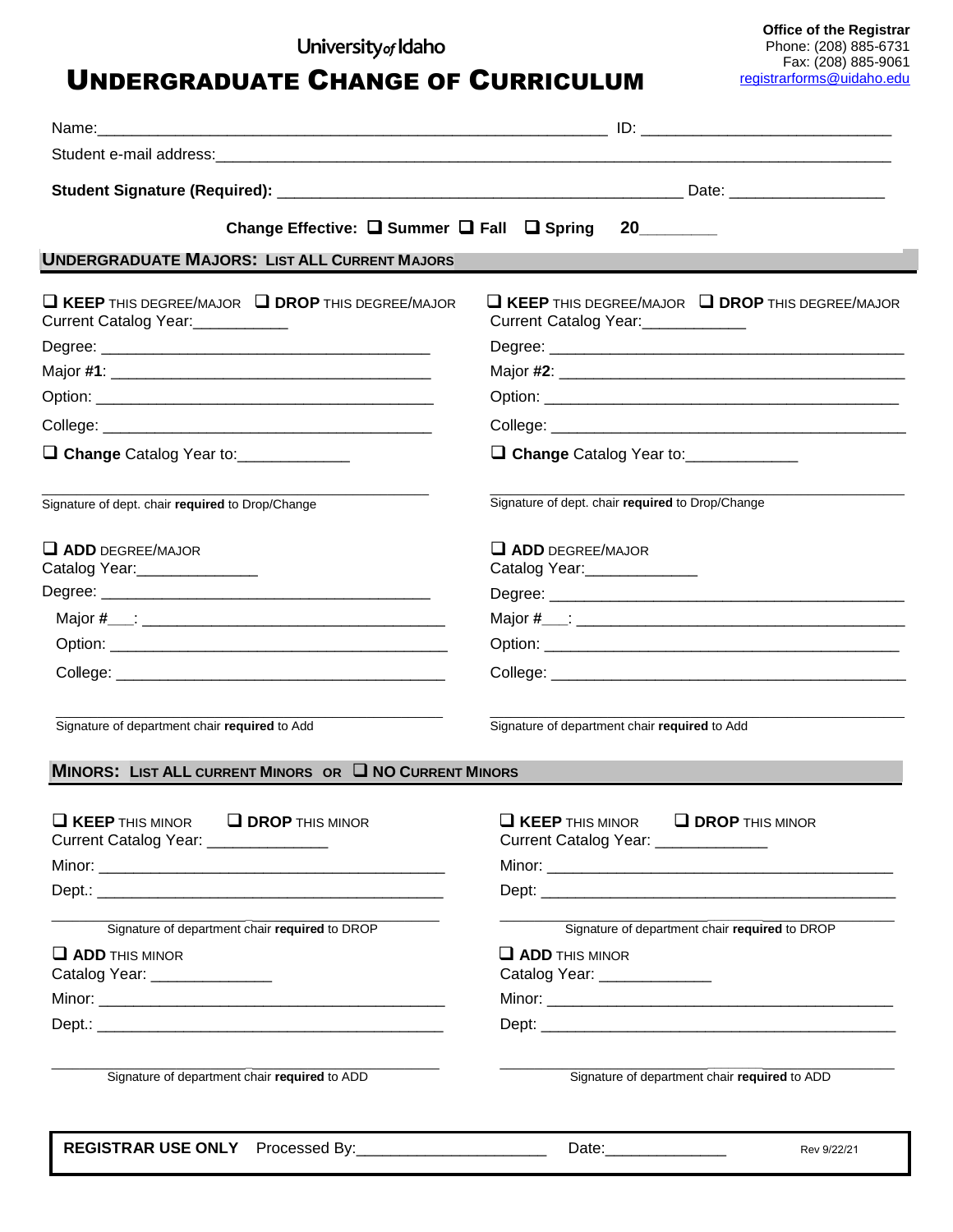## University<sub>of</sub> Idaho

**UNDERGRADUATE CHANGE OF CURRICULUM** 

**Office of the Registrar** Phone: (208) 885-6731 Fax: (208) 885-9061

| Change Effective: □ Summer □ Fall □ Spring                                                      | 20                                                                                         |
|-------------------------------------------------------------------------------------------------|--------------------------------------------------------------------------------------------|
| <b>UNDERGRADUATE MAJORS: LIST ALL CURRENT MAJORS</b>                                            |                                                                                            |
| $\Box$ KEEP THIS DEGREE/MAJOR $\Box$ DROP THIS DEGREE/MAJOR<br>Current Catalog Year:___________ | $\square$ KEEP THIS DEGREE/MAJOR $\square$ DROP THIS DEGREE/MAJOR<br>Current Catalog Year: |
|                                                                                                 |                                                                                            |
|                                                                                                 |                                                                                            |
|                                                                                                 |                                                                                            |
|                                                                                                 |                                                                                            |
| □ Change Catalog Year to: ______________                                                        | Change Catalog Year to: ___________                                                        |
| Signature of dept. chair required to Drop/Change                                                | Signature of dept. chair required to Drop/Change                                           |
| $\Box$ ADD DEGREE/MAJOR<br>Catalog Year: ________________                                       | $\Box$ ADD DEGREE/MAJOR<br>Catalog Year: _______________                                   |
|                                                                                                 |                                                                                            |
|                                                                                                 |                                                                                            |
|                                                                                                 |                                                                                            |
|                                                                                                 |                                                                                            |
| Signature of department chair required to Add                                                   | Signature of department chair required to Add                                              |
| <b>MINORS: LIST ALL CURRENT MINORS OR U NO CURRENT MINORS</b>                                   |                                                                                            |
| $\Box$ KEEP THIS MINOR $\Box$ DROP THIS MINOR<br>Current Catalog Year: ______________           | $\Box$ KEEP THIS MINOR $\Box$ DROP THIS MINOR<br>Current Catalog Year: _____________       |
|                                                                                                 |                                                                                            |
|                                                                                                 |                                                                                            |
| Signature of department chair required to DROP                                                  | Signature of department chair required to DROP                                             |
| $\Box$ ADD THIS MINOR<br>Catalog Year: _______________                                          | $\Box$ ADD THIS MINOR<br>Catalog Year: ______________                                      |
|                                                                                                 |                                                                                            |
|                                                                                                 |                                                                                            |
| Signature of department chair required to ADD                                                   | Signature of department chair required to ADD                                              |
| REGISTRAR USE ONLY Processed By:________________________                                        | Date:_______________<br>Rev 9/22/21                                                        |